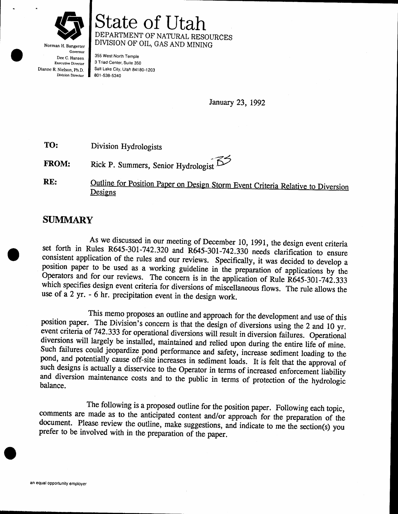

Norman H. Bangerter Governor Dee C. Hansen Executive Director Dianne R. Nielson, ph.D. Division Director

# State of Utah DEPARTMENT OF NATURAL RESOURCES DIVISION OF OIL, GAS AND MINING

355 West North Temple 3 Triad Center, Suite 350 Salt Lake City, Urah 84180-1203 801,538-5340

January 23, 1992

TO: Division Hydrologists

FROM: .<br>.−24 Rick P. Summers, Senior Hydrologist  $\mathbb{S}^7$ 

Outline for Position Paper on Design Storm Event Criteria Relative to Diversion RE: Designs

## SUMMARY

As we discussed in our meeting of December 10, 1991, the design event criteria<br>set forth in Rules R645-301-742.320 and R645-301-742.330 needs clarification to ensure<br>consistent application of the rules and our reviews. Spe Operators and for our reviews. The concern is in the application of Rule R645-301-742.333<br>which specifies design event criteria for diversions of miscellaneous flows. The rule allows the use of a 2 yr. - 6 hr. precipitation event in the design work.

This memo proposes an outline and approach for the development and use of this<br>position paper. The Division's concern is that the design of diversions using the 2 and 10 yr.<br>event criteria of 742.333 for operational divers such designs is actually a disservice to the Operator in terms of increased enforcement liability and diversion maintenance costs and to the public in terms of protection of the hydrologic balance.

The following is a proposed outline for the position paper. Following each topic, comments are made as to the anticipated content and/or approach for the preparation of the document. Please review the outline, make suggest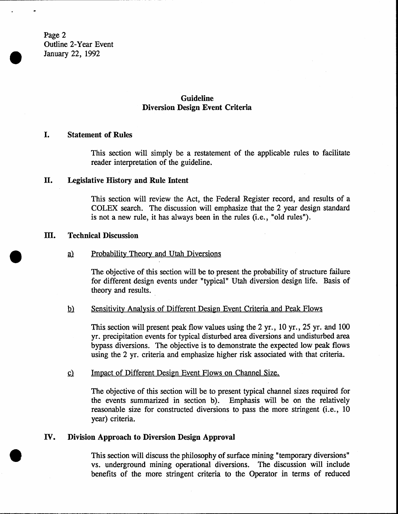Page 2 Outline 2-Year Event January 22, 1992

## Guideline Diversion Design Event Criteria

### I. Statement of Rules

This section will simply be a restatement of the applicable rules to facilitate reader interpretation of the guideline.

#### II. Legislative History and Rule Intent

This section will review the Act, the Federal Register record, and results of a COLEX search. The discussion will emphasize that the 2 year design standard is not a new rule, it has always been in the rules (i.e., "old rules").

#### m. Technical Discussion

### a) Probability Theory and Utah Diversions

The objective of this section will be to present the probability of structure failure for different design events under "typical" Utah diversion design life. Basis of theory and results.

### b) Sensitivity Analysis of Different Design Event Criteria and Peak Flows

This section will present peak flow values using the 2 yr., 10 yr.,25 yr. and 100 yr. precipitation events for typical disturbed area diversions and undisturbed area bypass diversions. The objective is to demonstrate the expected low peak flows using the 2 yr. criteria and emphasize higher risk associated with that criteria.

### c) Impact of Different Design Event Flows on Channel Size.

The objective of this section will be to present typical channel sizes required for the events summarized in sertion b). Emphasis will be on the relatively reasonable size for constructed diversions to pass the more stringent (i.e., <sup>10</sup> year) criteria.

#### Division Approach to Diversion Design Approval rv.

This section will discuss the philosophy of surface mining "temporary diversions" vs. underground mining operational diversions. The discussion will include benefits of the more stringent criteria to the Operator in terms of reduced